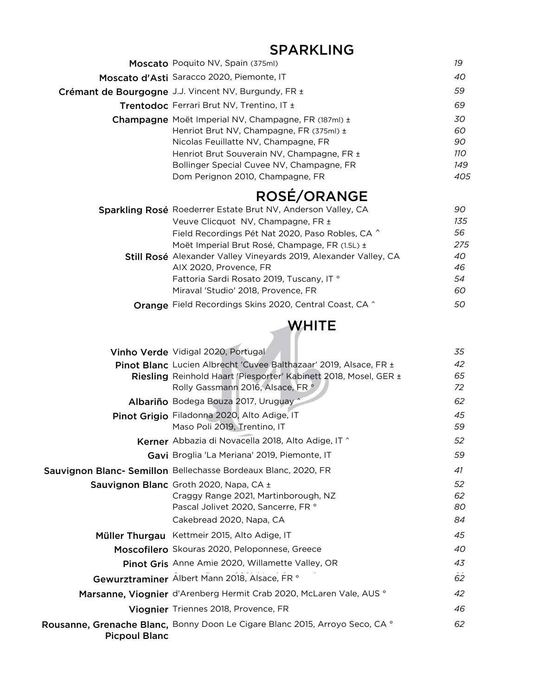## SPARKLING

| <b>Moscato</b> Poquito NV, Spain (375ml)                                                                                                                                                                                                                                                                                                                                                                                                              | 19                                                   |
|-------------------------------------------------------------------------------------------------------------------------------------------------------------------------------------------------------------------------------------------------------------------------------------------------------------------------------------------------------------------------------------------------------------------------------------------------------|------------------------------------------------------|
| Moscato d'Asti Saracco 2020, Piemonte, IT                                                                                                                                                                                                                                                                                                                                                                                                             | 40                                                   |
| Crémant de Bourgogne J.J. Vincent NV, Burgundy, FR ±                                                                                                                                                                                                                                                                                                                                                                                                  | 59                                                   |
| Trentodoc Ferrari Brut NV, Trentino, IT ±                                                                                                                                                                                                                                                                                                                                                                                                             | 69                                                   |
| Champagne Moët Imperial NV, Champagne, FR (187ml) ±<br>Henriot Brut NV, Champagne, FR (375ml) ±<br>Nicolas Feuillatte NV, Champagne, FR<br>Henriot Brut Souverain NV, Champagne, FR ±<br>Bollinger Special Cuvee NV, Champagne, FR<br>Dom Perignon 2010, Champagne, FR                                                                                                                                                                                | 30<br>60<br>90<br>11O<br>149<br>405                  |
| ROSÉ/ORANGE                                                                                                                                                                                                                                                                                                                                                                                                                                           |                                                      |
| Sparkling Rosé Roederrer Estate Brut NV, Anderson Valley, CA<br>Veuve Clicquot NV, Champagne, FR ±<br>Field Recordings Pét Nat 2020, Paso Robles, CA ^<br>Moët Imperial Brut Rosé, Champage, FR (1.5L) ±<br>Still Rosé Alexander Valley Vineyards 2019, Alexander Valley, CA<br>AIX 2020, Provence, FR<br>Fattoria Sardi Rosato 2019, Tuscany, IT °<br>Miraval 'Studio' 2018, Provence, FR<br>Orange Field Recordings Skins 2020, Central Coast, CA ^ | 90<br>135<br>56<br>275<br>40<br>46<br>54<br>60<br>50 |
| WHITE                                                                                                                                                                                                                                                                                                                                                                                                                                                 |                                                      |

|                      | Vinho Verde Vidigal 2020, Portugal                                                                                                                                         | 35                   |
|----------------------|----------------------------------------------------------------------------------------------------------------------------------------------------------------------------|----------------------|
|                      | Pinot Blanc Lucien Albrecht 'Cuvee Balthazaar' 2019, Alsace, FR ±<br>Riesling Reinhold Haart 'Piesporter' Kabinett 2018, Mosel, GER ±<br>Rolly Gassmann 2016, Alsace, FR ° | 42<br>65<br>72       |
|                      | Albariño Bodega Bouza 2017, Uruguay ^                                                                                                                                      | 62                   |
|                      | Pinot Grigio Filadonna 2020, Alto Adige, IT<br>Maso Poli 2019, Trentino, IT                                                                                                | 45<br>59             |
|                      | Kerner Abbazia di Novacella 2018, Alto Adige, IT ^                                                                                                                         | 52                   |
|                      | Gavi Broglia 'La Meriana' 2019, Piemonte, IT                                                                                                                               | 59                   |
|                      | Sauvignon Blanc- Semillon Bellechasse Bordeaux Blanc, 2020, FR                                                                                                             | 41                   |
|                      | Sauvignon Blanc Groth 2020, Napa, CA ±<br>Craggy Range 2021, Martinborough, NZ<br>Pascal Jolivet 2020, Sancerre, FR °<br>Cakebread 2020, Napa, CA                          | 52<br>62<br>80<br>84 |
|                      | Müller Thurgau Kettmeir 2015, Alto Adige, IT                                                                                                                               | 45                   |
|                      | Moscofilero Skouras 2020, Peloponnese, Greece                                                                                                                              | 40                   |
|                      | Pinot Gris Anne Amie 2020, Willamette Valley, OR                                                                                                                           | 43                   |
|                      | Gewurztraminer Albert Mann 2018, Alsace, FR °                                                                                                                              | 62                   |
|                      | Marsanne, Viognier d'Arenberg Hermit Crab 2020, McLaren Vale, AUS °                                                                                                        | 42                   |
|                      | Viognier Triennes 2018, Provence, FR                                                                                                                                       | 46                   |
| <b>Picpoul Blanc</b> | Rousanne, Grenache Blanc, Bonny Doon Le Cigare Blanc 2015, Arroyo Seco, CA °                                                                                               | 62                   |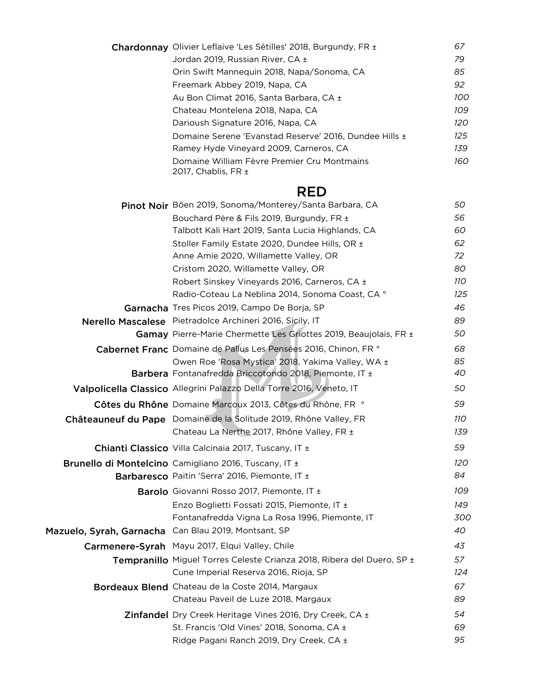|                          | Chardonnay Olivier Leflaive 'Les Sétilles' 2018, Burgundy, FR ±        | 67  |
|--------------------------|------------------------------------------------------------------------|-----|
|                          | Jordan 2019, Russian River, CA ±                                       | 79  |
|                          | Orin Swift Mannequin 2018, Napa/Sonoma, CA                             | 85  |
|                          | Freemark Abbey 2019, Napa, CA                                          | 92  |
|                          | Au Bon Climat 2016, Santa Barbara, CA ±                                | 100 |
|                          | Chateau Montelena 2018, Napa, CA                                       | 109 |
|                          | Darioush Signature 2016, Napa, CA                                      | 120 |
|                          | Domaine Serene 'Evanstad Reserve' 2016, Dundee Hills ±                 | 125 |
|                          | Ramey Hyde Vineyard 2009, Carneros, CA                                 | 139 |
|                          | Domaine William Fèvre Premier Cru Montmains<br>2017, Chablis, FR ±     | 160 |
|                          | <b>RED</b>                                                             |     |
|                          | Pinot Noir Böen 2019, Sonoma/Monterey/Santa Barbara, CA                | 50  |
|                          | Bouchard Père & Fils 2019, Burgundy, FR ±                              | 56  |
|                          | Talbott Kali Hart 2019, Santa Lucia Highlands, CA                      | 60  |
|                          | Stoller Family Estate 2020, Dundee Hills, OR ±                         | 62  |
|                          | Anne Amie 2020, Willamette Valley, OR                                  | 72  |
|                          | Cristom 2020, Willamette Valley, OR                                    | 80  |
|                          | Robert Sinskey Vineyards 2016, Carneros, CA ±                          | 110 |
|                          | Radio-Coteau La Neblina 2014, Sonoma Coast, CA °                       | 125 |
|                          | Garnacha Tres Picos 2019, Campo De Borja, SP                           | 46  |
|                          | Nerello Mascalese Pietradolce Archineri 2016, Sicily, IT               | 89  |
|                          | Gamay Pierre-Marie Chermette Les Griottes 2019, Beaujolais, FR ±       | 50  |
|                          | Cabernet Franc Domaine de Pallus Les Pensées 2016, Chinon, FR °        | 68  |
|                          | Owen Roe 'Rosa Mystica' 2018, Yakima Valley, WA ±                      | 85  |
|                          | Barbera Fontanafredda Briccotondo 2018, Piemonte, IT ±                 | 40  |
|                          | Valpolicella Classico Allegrini Palazzo Della Torre 2016, Veneto, IT   | 50  |
|                          | Côtes du Rhône Domaine Marcoux 2013, Côtes du Rhône, FR °              | 59  |
|                          | Châteauneuf du Pape Domaine de la Solitude 2019, Rhône Valley, FR      | 110 |
|                          | Chateau La Nerthe 2017, Rhône Valley, FR ±                             | 139 |
|                          | <b>Chianti Classico</b> Villa Calcinaia 2017, Tuscany, IT ±            | 59  |
|                          | Brunello di Montelcino Camigliano 2016, Tuscany, IT ±                  | 120 |
|                          | Barbaresco Paitin 'Serra' 2016, Piemonte, IT ±                         | 84  |
|                          | <b>Barolo</b> Giovanni Rosso 2017, Piemonte, IT ±                      | 109 |
|                          | Enzo Boglietti Fossati 2015, Piemonte, IT ±                            | 149 |
|                          | Fontanafredda Vigna La Rosa 1996, Piemonte, IT                         | 300 |
| Mazuelo, Syrah, Garnacha | Can Blau 2019, Montsant, SP                                            | 40  |
|                          | Carmenere-Syrah Mayu 2017, Elqui Valley, Chile                         | 43  |
|                          | Tempranillo Miguel Torres Celeste Crianza 2018, Ribera del Duero, SP ± | 57  |
|                          | Cune Imperial Reserva 2016, Rioja, SP                                  | 124 |
|                          | Bordeaux Blend Chateau de la Coste 2014, Margaux                       | 67  |
|                          | Chateau Paveil de Luze 2018, Margaux                                   | 89  |
|                          | Zinfandel Dry Creek Heritage Vines 2016, Dry Creek, CA ±               | 54  |
|                          | St. Francis 'Old Vines' 2018, Sonoma, CA ±                             | 69  |
|                          | Ridge Pagani Ranch 2019, Dry Creek, CA ±                               | 95  |